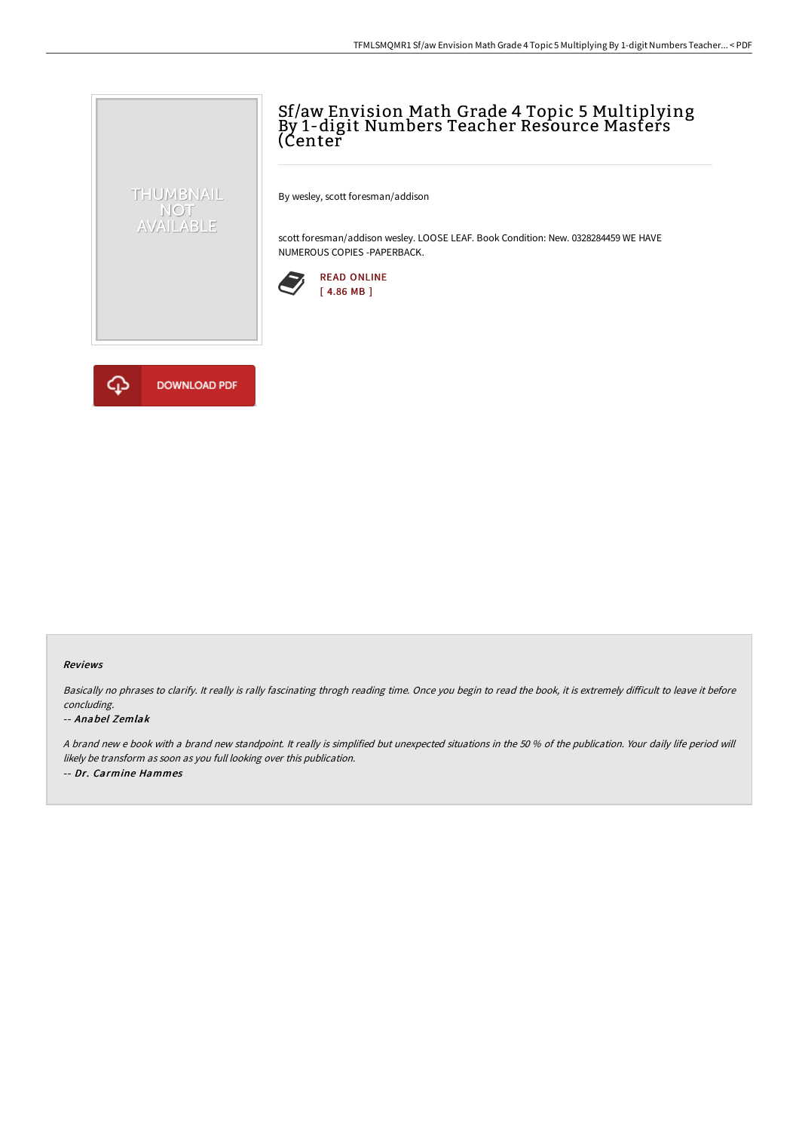## Sf/aw Envision Math Grade 4 Topic 5 Multiplying By 1-digit Numbers Teacher Resource Masters (Center

By wesley, scott foresman/addison

scott foresman/addison wesley. LOOSE LEAF. Book Condition: New. 0328284459 WE HAVE NUMEROUS COPIES -PAPERBACK.





THUMBNAIL NOT<br>AVAILABLE

## Reviews

Basically no phrases to clarify. It really is rally fascinating throgh reading time. Once you begin to read the book, it is extremely difficult to leave it before concluding.

## -- Anabel Zemlak

A brand new <sup>e</sup> book with <sup>a</sup> brand new standpoint. It really is simplified but unexpected situations in the 50 % of the publication. Your daily life period will likely be transform as soon as you full looking over this publication. -- Dr. Carmine Hammes